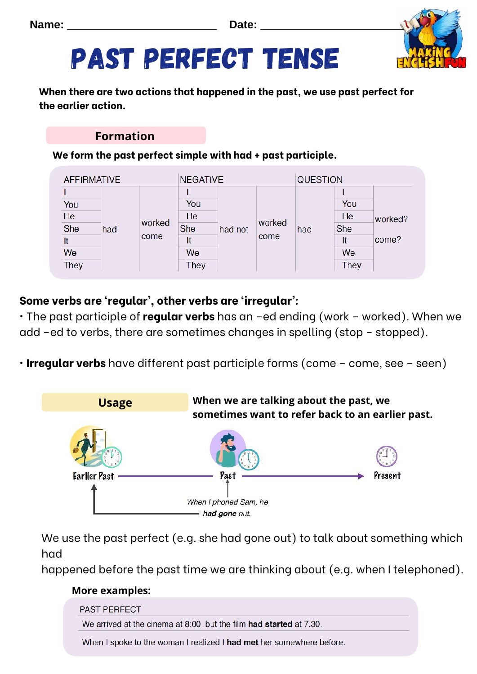**Name: \_\_\_\_\_\_\_\_\_\_\_\_\_\_\_\_\_\_\_\_\_\_\_\_ Date: \_\_\_\_\_\_\_\_\_\_\_\_\_\_\_\_\_\_\_\_\_\_\_**



# Past perfect tense

**When there are two actions that happened in the past, we use past perfect for the earlier action.** 

#### **Formation**

**We form the past perfect simple with had + past participle.**

| <b>AFFIRMATIVE</b> |  |                       | <b>NEGATIVE</b> |         |                | <b>QUESTION</b> |             |         |
|--------------------|--|-----------------------|-----------------|---------|----------------|-----------------|-------------|---------|
|                    |  |                       |                 | had not | worked<br>come | had             |             | worked? |
| You                |  |                       | You             |         |                |                 | You         |         |
| He                 |  | worked<br>had<br>come | He              |         |                |                 | He          |         |
| She                |  |                       | She             |         |                |                 | She         |         |
| It                 |  |                       | It              |         |                |                 | It          | come?   |
| We                 |  |                       | We              |         |                |                 | We          |         |
| They               |  |                       | <b>They</b>     |         |                |                 | <b>They</b> |         |

### **Some verbs are 'regular', other verbs are 'irregular':**

• The past participle of **regular verbs** has an –ed ending (work – worked). When we add –ed to verbs, there are sometimes changes in spelling (stop – stopped).

• **Irregular verbs** have different past participle forms (come – come, see – seen)



We use the past perfect (e.g. she had gone out) to talk about something which had

happened before the past time we are thinking about (e.g. when I telephoned).

#### **More examples:**

| <b>PAST PERFECT</b>                                                  |
|----------------------------------------------------------------------|
| We arrived at the cinema at 8.00, but the film had started at 7.30.  |
| When I spoke to the woman I realized I had met her somewhere before. |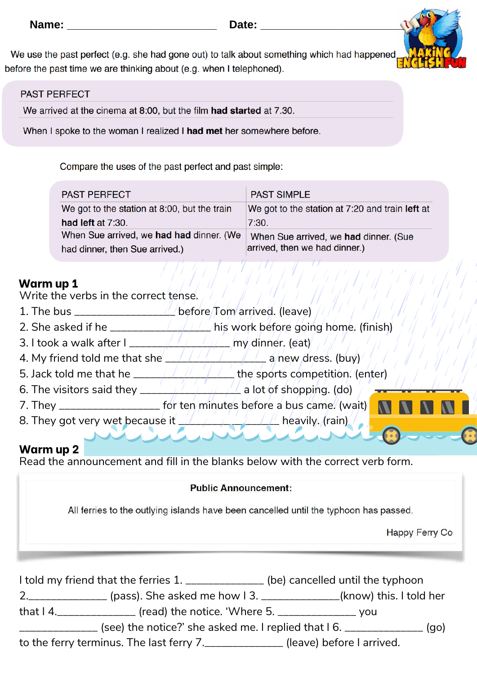We use the past perfect (e.g. she had gone out) to talk about something which had happened before the past time we are thinking about (e.g. when I telephoned).

#### **PAST PERFECT**

We arrived at the cinema at 8:00, but the film had started at 7.30.

When I spoke to the woman I realized I had met her somewhere before.

Compare the uses of the past perfect and past simple:

| <b>PAST PERFECT</b>                          | <b>PAST SIMPLE</b>                              |
|----------------------------------------------|-------------------------------------------------|
| We got to the station at 8:00, but the train | We got to the station at 7:20 and train left at |
| had left at 7:30.                            | 7:30.                                           |
| When Sue arrived, we had had dinner. (We     | When Sue arrived, we had dinner. (Sue           |
| had dinner, then Sue arrived.)               | arrived, then we had dinner.)                   |

#### **Warm up 1**

Write the verbs in the correct tense.

- 1. The bus  $\frac{1}{\sqrt{2}}$  before  $\frac{1}{\sqrt{2}}$  before  $\frac{1}{\sqrt{2}}$  (leave)
- 2. She asked if he \_\_\_\_\_\_\_\_\_\_\_\_\_\_\_\_\_\_ his work before going home. (finish)
- 3. I took a walk after I \_\_\_\_\_\_\_\_\_\_\_\_\_\_\_\_\_\_\_\_\_\_\_\_\_\_\_\_\_ my dinner. (eat)
- 4. My friend told me that she  $\frac{1}{2}$  /  $\frac{1}{2}$  /  $\frac{1}{2}$  a/new dress. (buy)
- 5. Jack told me that he \_\_\_\_\_\_\_\_\_\_\_\_\_\_\_\_\_\_ the sports competition. (enter)
- 6. The visitors said they \_\_\_\_\_\_\_\_\_\_\_\_\_\_\_\_\_\_ a lot of shopping. (do)
- 7. They \_\_\_\_\_\_\_\_\_\_\_\_\_\_\_\_\_\_\_\_\_\_ for ten minutes before a bus came. (wait)
- 8. They got very wet because it  $\frac{1}{2}$  and  $\frac{1}{2}$  and  $\frac{1}{2}$  heavily. (rain)

#### **Warm up 2**

Read the announcement and fill in the blanks below with the correct verb form.

#### **Public Announcement:**

All ferries to the outlying islands have been cancelled until the typhoon has passed.

Happy Ferry Co

| I told my friend that the ferries 1. _______________ (be) cancelled until the typhoon |                                                                                         |
|---------------------------------------------------------------------------------------|-----------------------------------------------------------------------------------------|
|                                                                                       | 2.________________ (pass). She asked me how 1 3. _______________(know) this. I told her |
| that $14$ . The summanner (read) the notice. 'Where 5. The summanner you              |                                                                                         |
| (see) the notice?' she asked me. I replied that I 6. _____________                    | (go)                                                                                    |
| to the ferry terminus. The last ferry 7._______________ (leave) before I arrived.     |                                                                                         |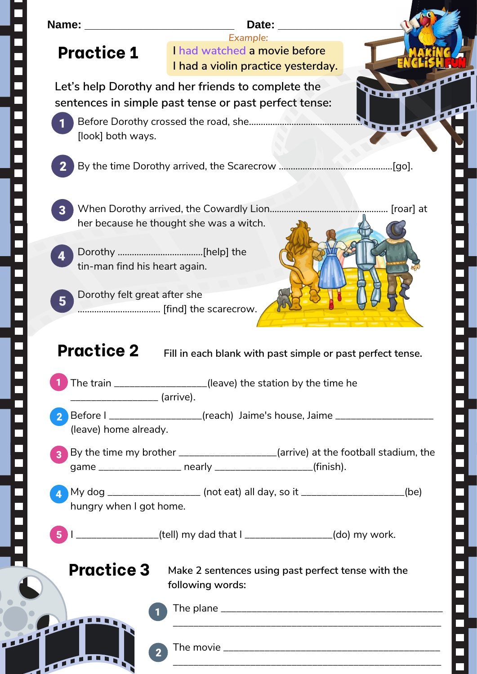